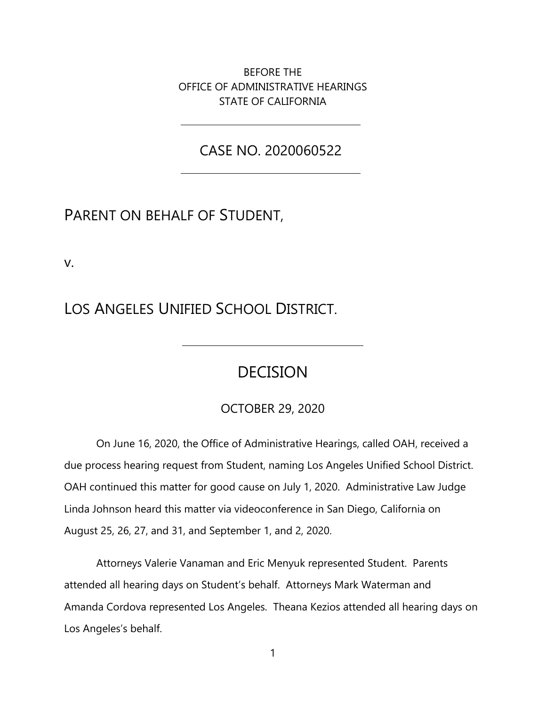BEFORE THE OFFICE OF ADMINISTRATIVE HEARINGS STATE OF CALIFORNIA

CASE NO. 2020060522

# PARENT ON BEHALF OF STUDENT,

v.

LOS ANGELES UNIFIED SCHOOL DISTRICT.

# DECISION

### OCTOBER 29, 2020

On June 16, 2020, the Office of Administrative Hearings, called OAH, received a due process hearing request from Student, naming Los Angeles Unified School District. OAH continued this matter for good cause on July 1, 2020. Administrative Law Judge Linda Johnson heard this matter via videoconference in San Diego, California on August 25, 26, 27, and 31, and September 1, and 2, 2020.

Attorneys Valerie Vanaman and Eric Menyuk represented Student. Parents attended all hearing days on Student's behalf. Attorneys Mark Waterman and Amanda Cordova represented Los Angeles. Theana Kezios attended all hearing days on Los Angeles's behalf.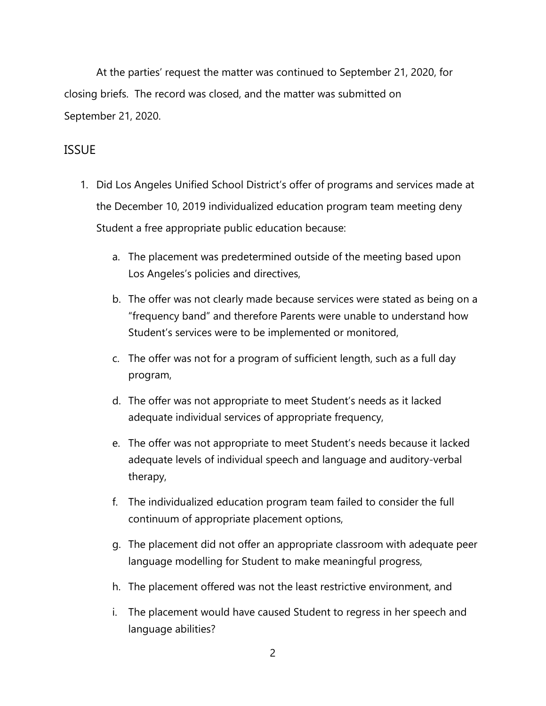At the parties' request the matter was continued to September 21, 2020, for closing briefs. The record was closed, and the matter was submitted on September 21, 2020.

### ISSUE

- 1. Did Los Angeles Unified School District's offer of programs and services made at the December 10, 2019 individualized education program team meeting deny Student a free appropriate public education because:
	- a. The placement was predetermined outside of the meeting based upon Los Angeles's policies and directives,
	- b. The offer was not clearly made because services were stated as being on a "frequency band" and therefore Parents were unable to understand how Student's services were to be implemented or monitored,
	- c. The offer was not for a program of sufficient length, such as a full day program,
	- d. The offer was not appropriate to meet Student's needs as it lacked adequate individual services of appropriate frequency,
	- e. The offer was not appropriate to meet Student's needs because it lacked adequate levels of individual speech and language and auditory-verbal therapy,
	- f. The individualized education program team failed to consider the full continuum of appropriate placement options,
	- g. The placement did not offer an appropriate classroom with adequate peer language modelling for Student to make meaningful progress,
	- h. The placement offered was not the least restrictive environment, and
	- i. The placement would have caused Student to regress in her speech and language abilities?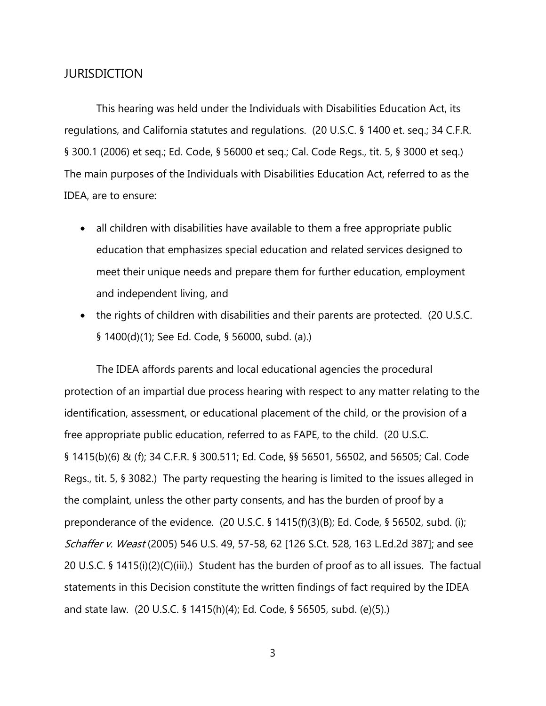### **JURISDICTION**

This hearing was held under the Individuals with Disabilities Education Act, its regulations, and California statutes and regulations. (20 U.S.C. § 1400 et. seq.; 34 C.F.R. § 300.1 (2006) et seq.; Ed. Code, § 56000 et seq.; Cal. Code Regs., tit. 5, § 3000 et seq.) The main purposes of the Individuals with Disabilities Education Act, referred to as the IDEA, are to ensure:

- all children with disabilities have available to them a free appropriate public education that emphasizes special education and related services designed to meet their unique needs and prepare them for further education, employment and independent living, and
- the rights of children with disabilities and their parents are protected. (20 U.S.C. § 1400(d)(1); See Ed. Code, § 56000, subd. (a).)

The IDEA affords parents and local educational agencies the procedural protection of an impartial due process hearing with respect to any matter relating to the identification, assessment, or educational placement of the child, or the provision of a free appropriate public education, referred to as FAPE, to the child. (20 U.S.C. § 1415(b)(6) & (f); 34 C.F.R. § 300.511; Ed. Code, §§ 56501, 56502, and 56505; Cal. Code Regs., tit. 5, § 3082.) The party requesting the hearing is limited to the issues alleged in the complaint, unless the other party consents, and has the burden of proof by a preponderance of the evidence. (20 U.S.C. § 1415(f)(3)(B); Ed. Code, § 56502, subd. (i); Schaffer v. Weast (2005) 546 U.S. 49, 57-58, 62 [126 S.Ct. 528, 163 L.Ed.2d 387]; and see 20 U.S.C. § 1415(i)(2)(C)(iii).) Student has the burden of proof as to all issues. The factual statements in this Decision constitute the written findings of fact required by the IDEA and state law. (20 U.S.C. § 1415(h)(4); Ed. Code, § 56505, subd. (e)(5).)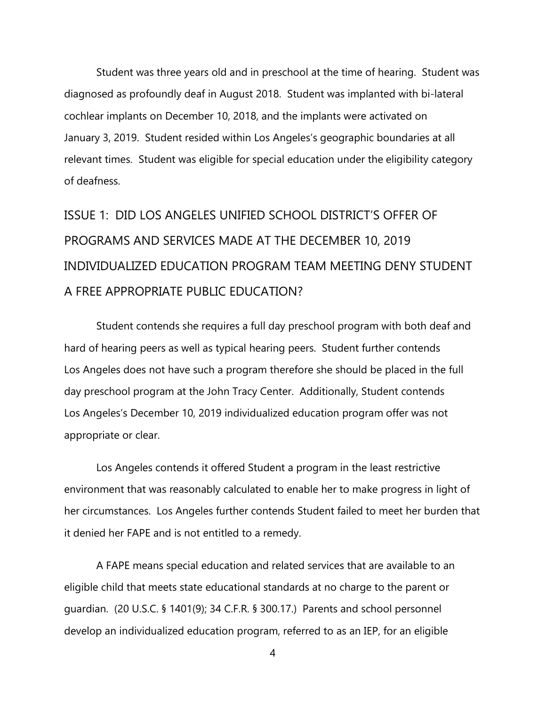Student was three years old and in preschool at the time of hearing. Student was diagnosed as profoundly deaf in August 2018. Student was implanted with bi-lateral cochlear implants on December 10, 2018, and the implants were activated on January 3, 2019. Student resided within Los Angeles's geographic boundaries at all relevant times. Student was eligible for special education under the eligibility category of deafness.

ISSUE 1: DID LOS ANGELES UNIFIED SCHOOL DISTRICT'S OFFER OF PROGRAMS AND SERVICES MADE AT THE DECEMBER 10, 2019 INDIVIDUALIZED EDUCATION PROGRAM TEAM MEETING DENY STUDENT A FREE APPROPRIATE PUBLIC EDUCATION?

Student contends she requires a full day preschool program with both deaf and hard of hearing peers as well as typical hearing peers. Student further contends Los Angeles does not have such a program therefore she should be placed in the full day preschool program at the John Tracy Center. Additionally, Student contends Los Angeles's December 10, 2019 individualized education program offer was not appropriate or clear.

Los Angeles contends it offered Student a program in the least restrictive environment that was reasonably calculated to enable her to make progress in light of her circumstances. Los Angeles further contends Student failed to meet her burden that it denied her FAPE and is not entitled to a remedy.

A FAPE means special education and related services that are available to an eligible child that meets state educational standards at no charge to the parent or guardian. (20 U.S.C. § 1401(9); 34 C.F.R. § 300.17.) Parents and school personnel develop an individualized education program, referred to as an IEP, for an eligible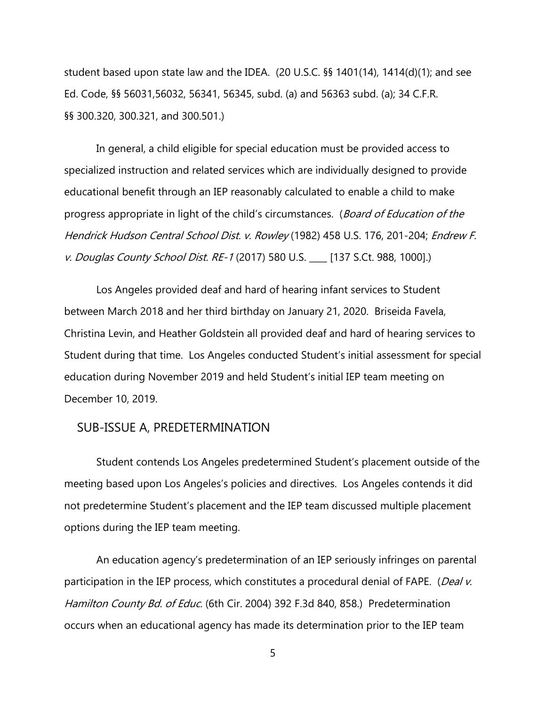student based upon state law and the IDEA. (20 U.S.C. §§ 1401(14), 1414(d)(1); and see Ed. Code, §§ 56031,56032, 56341, 56345, subd. (a) and 56363 subd. (a); 34 C.F.R. §§ 300.320, 300.321, and 300.501.)

In general, a child eligible for special education must be provided access to specialized instruction and related services which are individually designed to provide educational benefit through an IEP reasonably calculated to enable a child to make progress appropriate in light of the child's circumstances. (Board of Education of the Hendrick Hudson Central School Dist. v. Rowley (1982) 458 U.S. 176, 201-204; Endrew F. v. Douglas County School Dist. RE-1 (2017) 580 U.S. [137 S.Ct. 988, 1000].)

Los Angeles provided deaf and hard of hearing infant services to Student between March 2018 and her third birthday on January 21, 2020. Briseida Favela, Christina Levin, and Heather Goldstein all provided deaf and hard of hearing services to Student during that time. Los Angeles conducted Student's initial assessment for special education during November 2019 and held Student's initial IEP team meeting on December 10, 2019.

### SUB-ISSUE A, PREDETERMINATION

Student contends Los Angeles predetermined Student's placement outside of the meeting based upon Los Angeles's policies and directives. Los Angeles contends it did not predetermine Student's placement and the IEP team discussed multiple placement options during the IEP team meeting.

An education agency's predetermination of an IEP seriously infringes on parental participation in the IEP process, which constitutes a procedural denial of FAPE. (Deal v. Hamilton County Bd. of Educ. (6th Cir. 2004) 392 F.3d 840, 858.) Predetermination occurs when an educational agency has made its determination prior to the IEP team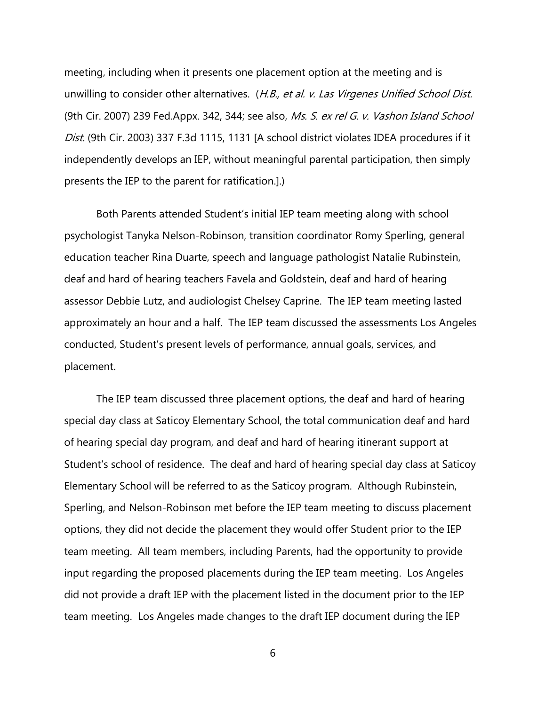meeting, including when it presents one placement option at the meeting and is unwilling to consider other alternatives. (H.B., et al. v. Las Virgenes Unified School Dist. (9th Cir. 2007) 239 Fed.Appx. 342, 344; see also, Ms. S. ex rel G. v. Vashon Island School Dist. (9th Cir. 2003) 337 F.3d 1115, 1131 [A school district violates IDEA procedures if it independently develops an IEP, without meaningful parental participation, then simply presents the IEP to the parent for ratification.].)

Both Parents attended Student's initial IEP team meeting along with school psychologist Tanyka Nelson-Robinson, transition coordinator Romy Sperling, general education teacher Rina Duarte, speech and language pathologist Natalie Rubinstein, deaf and hard of hearing teachers Favela and Goldstein, deaf and hard of hearing assessor Debbie Lutz, and audiologist Chelsey Caprine. The IEP team meeting lasted approximately an hour and a half. The IEP team discussed the assessments Los Angeles conducted, Student's present levels of performance, annual goals, services, and placement.

The IEP team discussed three placement options, the deaf and hard of hearing special day class at Saticoy Elementary School, the total communication deaf and hard of hearing special day program, and deaf and hard of hearing itinerant support at Student's school of residence. The deaf and hard of hearing special day class at Saticoy Elementary School will be referred to as the Saticoy program. Although Rubinstein, Sperling, and Nelson-Robinson met before the IEP team meeting to discuss placement options, they did not decide the placement they would offer Student prior to the IEP team meeting. All team members, including Parents, had the opportunity to provide input regarding the proposed placements during the IEP team meeting. Los Angeles did not provide a draft IEP with the placement listed in the document prior to the IEP team meeting. Los Angeles made changes to the draft IEP document during the IEP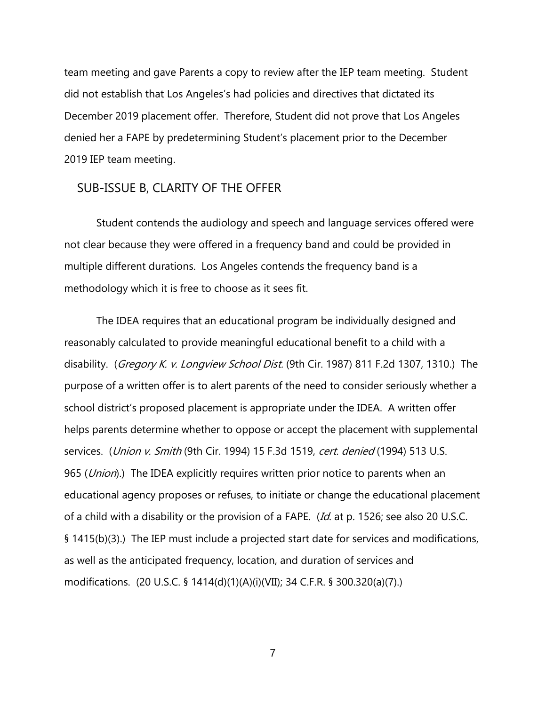team meeting and gave Parents a copy to review after the IEP team meeting. Student did not establish that Los Angeles's had policies and directives that dictated its December 2019 placement offer. Therefore, Student did not prove that Los Angeles denied her a FAPE by predetermining Student's placement prior to the December 2019 IEP team meeting.

### SUB-ISSUE B, CLARITY OF THE OFFER

Student contends the audiology and speech and language services offered were not clear because they were offered in a frequency band and could be provided in multiple different durations. Los Angeles contends the frequency band is a methodology which it is free to choose as it sees fit.

The IDEA requires that an educational program be individually designed and reasonably calculated to provide meaningful educational benefit to a child with a disability. (Gregory K. v. Longview School Dist. (9th Cir. 1987) 811 F.2d 1307, 1310.) The purpose of a written offer is to alert parents of the need to consider seriously whether a school district's proposed placement is appropriate under the IDEA. A written offer helps parents determine whether to oppose or accept the placement with supplemental services. (*Union v. Smith* (9th Cir. 1994) 15 F.3d 1519, cert. denied (1994) 513 U.S. 965 (Union).) The IDEA explicitly requires written prior notice to parents when an educational agency proposes or refuses, to initiate or change the educational placement of a child with a disability or the provision of a FAPE. (Id. at p. 1526; see also 20 U.S.C. § 1415(b)(3).) The IEP must include a projected start date for services and modifications, as well as the anticipated frequency, location, and duration of services and modifications. (20 U.S.C. § 1414(d)(1)(A)(i)(VII); 34 C.F.R. § 300.320(a)(7).)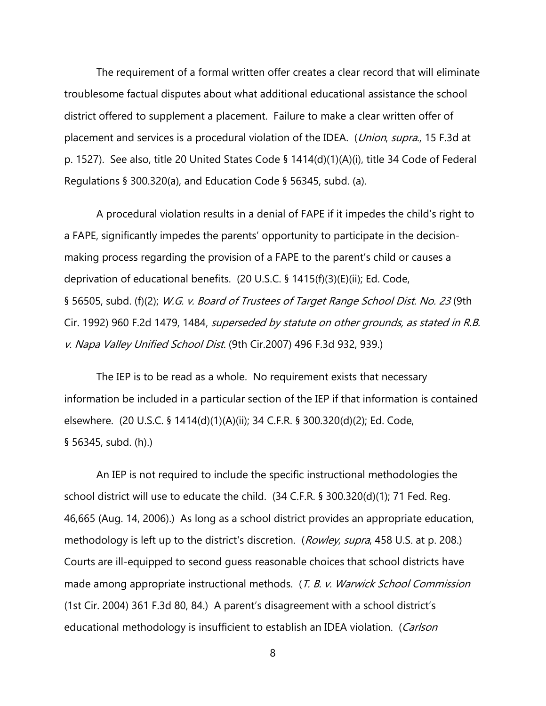The requirement of a formal written offer creates a clear record that will eliminate troublesome factual disputes about what additional educational assistance the school district offered to supplement a placement. Failure to make a clear written offer of placement and services is a procedural violation of the IDEA. (*Union, supra.*, 15 F.3d at p. 1527). See also, title 20 United States Code § 1414(d)(1)(A)(i), title 34 Code of Federal Regulations § 300.320(a), and Education Code § 56345, subd. (a).

A procedural violation results in a denial of FAPE if it impedes the child's right to a FAPE, significantly impedes the parents' opportunity to participate in the decisionmaking process regarding the provision of a FAPE to the parent's child or causes a deprivation of educational benefits. (20 U.S.C. § 1415(f)(3)(E)(ii); Ed. Code, § 56505, subd. (f)(2); W.G. v. Board of Trustees of Target Range School Dist. No. 23 (9th Cir. 1992) 960 F.2d 1479, 1484, superseded by statute on other grounds, as stated in R.B. v. Napa Valley Unified School Dist. (9th Cir.2007) 496 F.3d 932, 939.)

The IEP is to be read as a whole. No requirement exists that necessary information be included in a particular section of the IEP if that information is contained elsewhere. (20 U.S.C. § 1414(d)(1)(A)(ii); 34 C.F.R. § 300.320(d)(2); Ed. Code, § 56345, subd. (h).)

An IEP is not required to include the specific instructional methodologies the school district will use to educate the child. (34 C.F.R. § 300.320(d)(1); 71 Fed. Reg. 46,665 (Aug. 14, 2006).) As long as a school district provides an appropriate education, methodology is left up to the district's discretion. (Rowley, supra, 458 U.S. at p. 208.) Courts are ill-equipped to second guess reasonable choices that school districts have made among appropriate instructional methods. (T. B. v. Warwick School Commission (1st Cir. 2004) 361 F.3d 80, 84.) A parent's disagreement with a school district's educational methodology is insufficient to establish an IDEA violation. (Carlson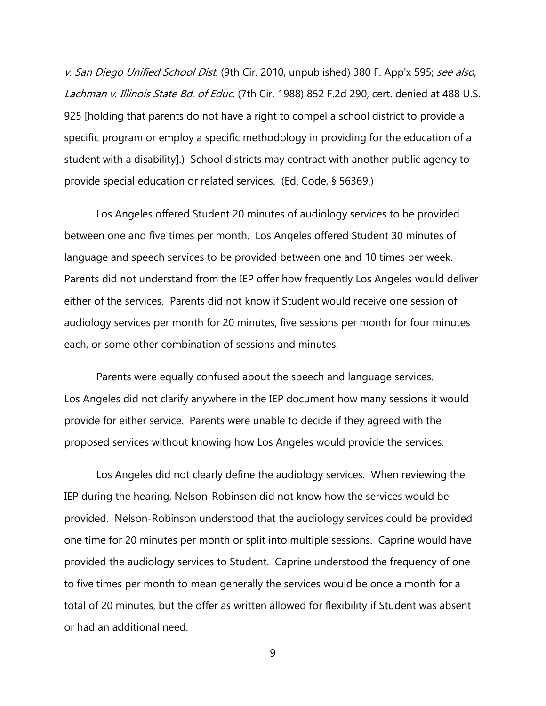v. San Diego Unified School Dist. (9th Cir. 2010, unpublished) 380 F. App'x 595; see also, Lachman v. Illinois State Bd. of Educ. (7th Cir. 1988) 852 F.2d 290, cert. denied at 488 U.S. 925 [holding that parents do not have a right to compel a school district to provide a specific program or employ a specific methodology in providing for the education of a student with a disability].) School districts may contract with another public agency to provide special education or related services. (Ed. Code, § 56369.)

Los Angeles offered Student 20 minutes of audiology services to be provided between one and five times per month. Los Angeles offered Student 30 minutes of language and speech services to be provided between one and 10 times per week. Parents did not understand from the IEP offer how frequently Los Angeles would deliver either of the services. Parents did not know if Student would receive one session of audiology services per month for 20 minutes, five sessions per month for four minutes each, or some other combination of sessions and minutes.

Parents were equally confused about the speech and language services. Los Angeles did not clarify anywhere in the IEP document how many sessions it would provide for either service. Parents were unable to decide if they agreed with the proposed services without knowing how Los Angeles would provide the services.

Los Angeles did not clearly define the audiology services. When reviewing the IEP during the hearing, Nelson-Robinson did not know how the services would be provided. Nelson-Robinson understood that the audiology services could be provided one time for 20 minutes per month or split into multiple sessions. Caprine would have provided the audiology services to Student. Caprine understood the frequency of one to five times per month to mean generally the services would be once a month for a total of 20 minutes, but the offer as written allowed for flexibility if Student was absent or had an additional need.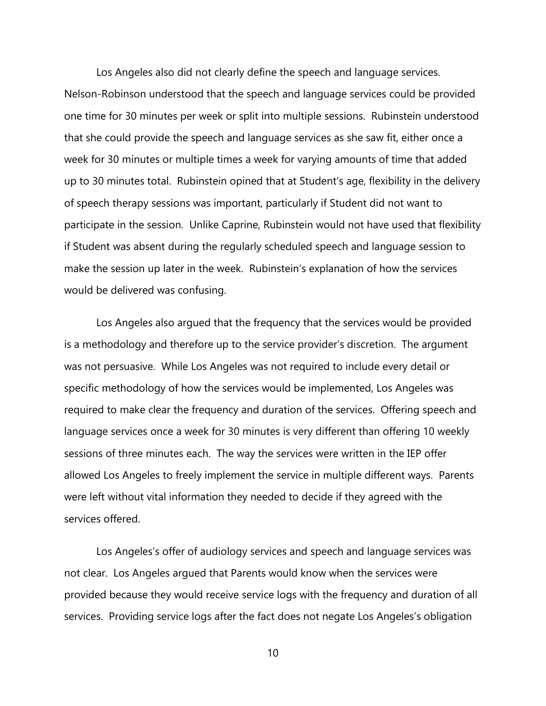Los Angeles also did not clearly define the speech and language services. Nelson-Robinson understood that the speech and language services could be provided one time for 30 minutes per week or split into multiple sessions. Rubinstein understood that she could provide the speech and language services as she saw fit, either once a week for 30 minutes or multiple times a week for varying amounts of time that added up to 30 minutes total. Rubinstein opined that at Student's age, flexibility in the delivery of speech therapy sessions was important, particularly if Student did not want to participate in the session. Unlike Caprine, Rubinstein would not have used that flexibility if Student was absent during the regularly scheduled speech and language session to make the session up later in the week. Rubinstein's explanation of how the services would be delivered was confusing.

Los Angeles also argued that the frequency that the services would be provided is a methodology and therefore up to the service provider's discretion. The argument was not persuasive. While Los Angeles was not required to include every detail or specific methodology of how the services would be implemented, Los Angeles was required to make clear the frequency and duration of the services. Offering speech and language services once a week for 30 minutes is very different than offering 10 weekly sessions of three minutes each. The way the services were written in the IEP offer allowed Los Angeles to freely implement the service in multiple different ways. Parents were left without vital information they needed to decide if they agreed with the services offered.

Los Angeles's offer of audiology services and speech and language services was not clear. Los Angeles argued that Parents would know when the services were provided because they would receive service logs with the frequency and duration of all services. Providing service logs after the fact does not negate Los Angeles's obligation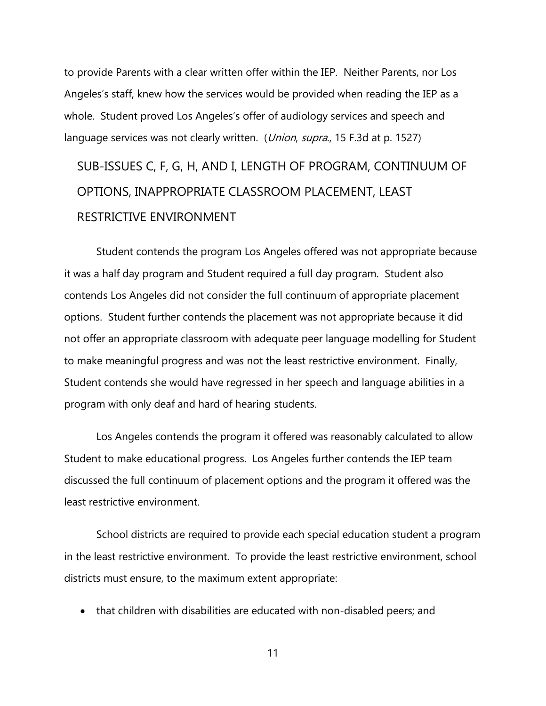to provide Parents with a clear written offer within the IEP. Neither Parents, nor Los Angeles's staff, knew how the services would be provided when reading the IEP as a whole. Student proved Los Angeles's offer of audiology services and speech and language services was not clearly written. (*Union, supra.*, 15 F.3d at p. 1527)

# SUB-ISSUES C, F, G, H, AND I, LENGTH OF PROGRAM, CONTINUUM OF OPTIONS, INAPPROPRIATE CLASSROOM PLACEMENT, LEAST RESTRICTIVE ENVIRONMENT

Student contends the program Los Angeles offered was not appropriate because it was a half day program and Student required a full day program. Student also contends Los Angeles did not consider the full continuum of appropriate placement options. Student further contends the placement was not appropriate because it did not offer an appropriate classroom with adequate peer language modelling for Student to make meaningful progress and was not the least restrictive environment. Finally, Student contends she would have regressed in her speech and language abilities in a program with only deaf and hard of hearing students.

Los Angeles contends the program it offered was reasonably calculated to allow Student to make educational progress. Los Angeles further contends the IEP team discussed the full continuum of placement options and the program it offered was the least restrictive environment.

School districts are required to provide each special education student a program in the least restrictive environment. To provide the least restrictive environment, school districts must ensure, to the maximum extent appropriate:

• that children with disabilities are educated with non-disabled peers; and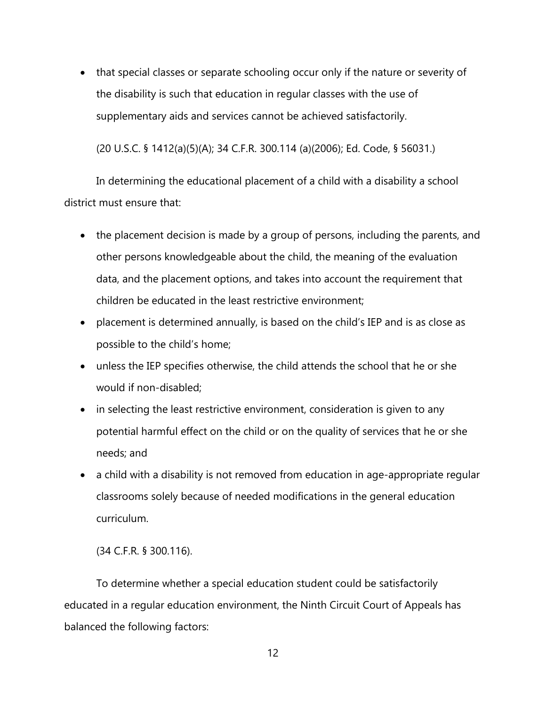• that special classes or separate schooling occur only if the nature or severity of the disability is such that education in regular classes with the use of supplementary aids and services cannot be achieved satisfactorily.

(20 U.S.C. § 1412(a)(5)(A); 34 C.F.R. 300.114 (a)(2006); Ed. Code, § 56031.)

In determining the educational placement of a child with a disability a school district must ensure that:

- the placement decision is made by a group of persons, including the parents, and other persons knowledgeable about the child, the meaning of the evaluation data, and the placement options, and takes into account the requirement that children be educated in the least restrictive environment;
- placement is determined annually, is based on the child's IEP and is as close as possible to the child's home;
- unless the IEP specifies otherwise, the child attends the school that he or she would if non-disabled;
- in selecting the least restrictive environment, consideration is given to any potential harmful effect on the child or on the quality of services that he or she needs; and
- a child with a disability is not removed from education in age-appropriate regular classrooms solely because of needed modifications in the general education curriculum.

(34 C.F.R. § 300.116).

To determine whether a special education student could be satisfactorily educated in a regular education environment, the Ninth Circuit Court of Appeals has balanced the following factors: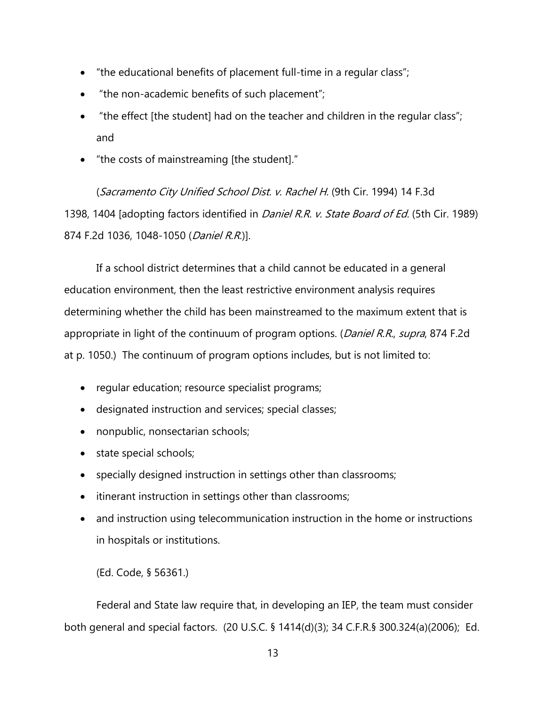- "the educational benefits of placement full-time in a regular class";
- "the non-academic benefits of such placement";
- "the effect [the student] had on the teacher and children in the regular class"; and
- "the costs of mainstreaming [the student]."

(Sacramento City Unified School Dist. v. Rachel H. (9th Cir. 1994) 14 F.3d 1398, 1404 [adopting factors identified in *Daniel R.R. v. State Board of Ed.* (5th Cir. 1989) 874 F.2d 1036, 1048-1050 (Daniel R.R.)].

If a school district determines that a child cannot be educated in a general education environment, then the least restrictive environment analysis requires determining whether the child has been mainstreamed to the maximum extent that is appropriate in light of the continuum of program options. (Daniel R.R., supra, 874 F.2d at p. 1050.) The continuum of program options includes, but is not limited to:

- regular education; resource specialist programs;
- designated instruction and services; special classes;
- nonpublic, nonsectarian schools;
- state special schools;
- specially designed instruction in settings other than classrooms;
- itinerant instruction in settings other than classrooms;
- and instruction using telecommunication instruction in the home or instructions in hospitals or institutions.

(Ed. Code, § 56361.)

Federal and State law require that, in developing an IEP, the team must consider both general and special factors. (20 U.S.C. § 1414(d)(3); 34 C.F.R.§ 300.324(a)(2006); Ed.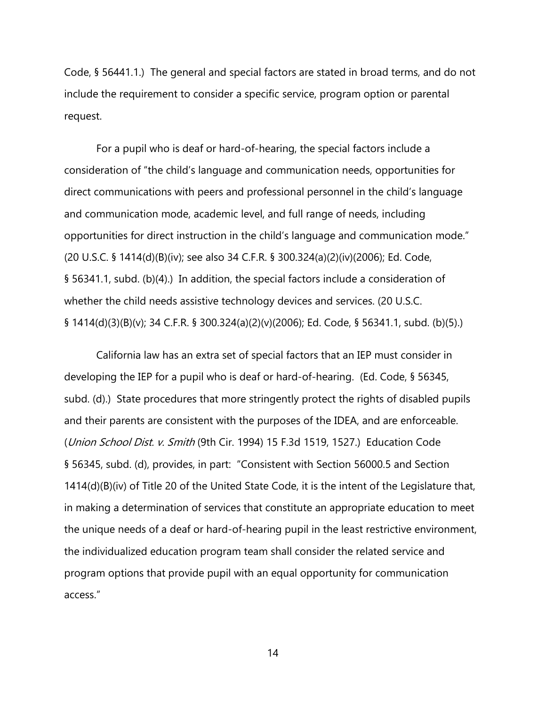Code, § 56441.1.) The general and special factors are stated in broad terms, and do not include the requirement to consider a specific service, program option or parental request.

For a pupil who is deaf or hard-of-hearing, the special factors include a consideration of "the child's language and communication needs, opportunities for direct communications with peers and professional personnel in the child's language and communication mode, academic level, and full range of needs, including opportunities for direct instruction in the child's language and communication mode." (20 U.S.C. § 1414(d)(B)(iv); see also 34 C.F.R. § 300.324(a)(2)(iv)(2006); Ed. Code, § 56341.1, subd. (b)(4).) In addition, the special factors include a consideration of whether the child needs assistive technology devices and services. (20 U.S.C. § 1414(d)(3)(B)(v); 34 C.F.R. § 300.324(a)(2)(v)(2006); Ed. Code, § 56341.1, subd. (b)(5).)

California law has an extra set of special factors that an IEP must consider in developing the IEP for a pupil who is deaf or hard-of-hearing. (Ed. Code, § 56345, subd. (d).) State procedures that more stringently protect the rights of disabled pupils and their parents are consistent with the purposes of the IDEA, and are enforceable. (Union School Dist. v. Smith (9th Cir. 1994) 15 F.3d 1519, 1527.) Education Code § 56345, subd. (d), provides, in part: "Consistent with Section 56000.5 and Section 1414(d)(B)(iv) of Title 20 of the United State Code, it is the intent of the Legislature that, in making a determination of services that constitute an appropriate education to meet the unique needs of a deaf or hard-of-hearing pupil in the least restrictive environment, the individualized education program team shall consider the related service and program options that provide pupil with an equal opportunity for communication access."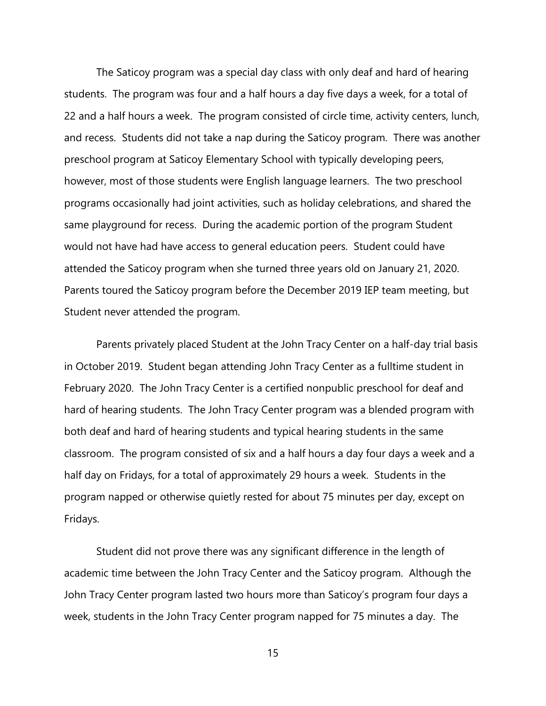The Saticoy program was a special day class with only deaf and hard of hearing students. The program was four and a half hours a day five days a week, for a total of 22 and a half hours a week. The program consisted of circle time, activity centers, lunch, and recess. Students did not take a nap during the Saticoy program. There was another preschool program at Saticoy Elementary School with typically developing peers, however, most of those students were English language learners. The two preschool programs occasionally had joint activities, such as holiday celebrations, and shared the same playground for recess. During the academic portion of the program Student would not have had have access to general education peers. Student could have attended the Saticoy program when she turned three years old on January 21, 2020. Parents toured the Saticoy program before the December 2019 IEP team meeting, but Student never attended the program.

Parents privately placed Student at the John Tracy Center on a half-day trial basis in October 2019. Student began attending John Tracy Center as a fulltime student in February 2020. The John Tracy Center is a certified nonpublic preschool for deaf and hard of hearing students. The John Tracy Center program was a blended program with both deaf and hard of hearing students and typical hearing students in the same classroom. The program consisted of six and a half hours a day four days a week and a half day on Fridays, for a total of approximately 29 hours a week. Students in the program napped or otherwise quietly rested for about 75 minutes per day, except on Fridays.

Student did not prove there was any significant difference in the length of academic time between the John Tracy Center and the Saticoy program. Although the John Tracy Center program lasted two hours more than Saticoy's program four days a week, students in the John Tracy Center program napped for 75 minutes a day. The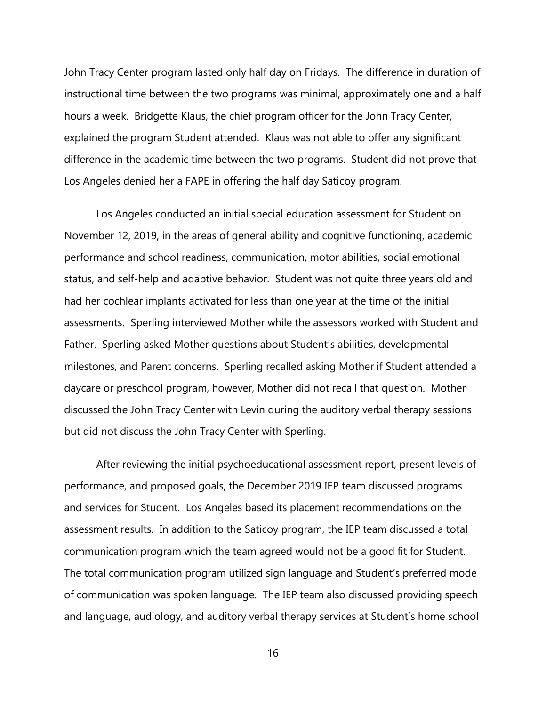John Tracy Center program lasted only half day on Fridays. The difference in duration of instructional time between the two programs was minimal, approximately one and a half hours a week. Bridgette Klaus, the chief program officer for the John Tracy Center, explained the program Student attended. Klaus was not able to offer any significant difference in the academic time between the two programs. Student did not prove that Los Angeles denied her a FAPE in offering the half day Saticoy program.

Los Angeles conducted an initial special education assessment for Student on November 12, 2019, in the areas of general ability and cognitive functioning, academic performance and school readiness, communication, motor abilities, social emotional status, and self-help and adaptive behavior. Student was not quite three years old and had her cochlear implants activated for less than one year at the time of the initial assessments. Sperling interviewed Mother while the assessors worked with Student and Father. Sperling asked Mother questions about Student's abilities, developmental milestones, and Parent concerns. Sperling recalled asking Mother if Student attended a daycare or preschool program, however, Mother did not recall that question. Mother discussed the John Tracy Center with Levin during the auditory verbal therapy sessions but did not discuss the John Tracy Center with Sperling.

After reviewing the initial psychoeducational assessment report, present levels of performance, and proposed goals, the December 2019 IEP team discussed programs and services for Student. Los Angeles based its placement recommendations on the assessment results. In addition to the Saticoy program, the IEP team discussed a total communication program which the team agreed would not be a good fit for Student. The total communication program utilized sign language and Student's preferred mode of communication was spoken language. The IEP team also discussed providing speech and language, audiology, and auditory verbal therapy services at Student's home school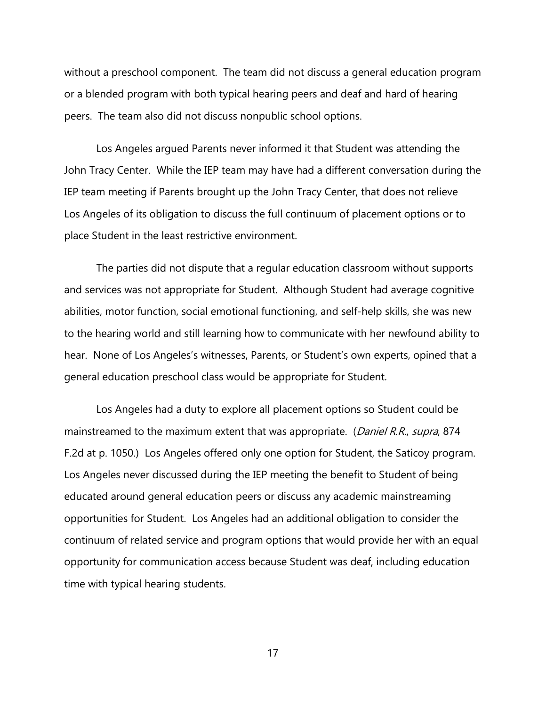without a preschool component. The team did not discuss a general education program or a blended program with both typical hearing peers and deaf and hard of hearing peers. The team also did not discuss nonpublic school options.

Los Angeles argued Parents never informed it that Student was attending the John Tracy Center. While the IEP team may have had a different conversation during the IEP team meeting if Parents brought up the John Tracy Center, that does not relieve Los Angeles of its obligation to discuss the full continuum of placement options or to place Student in the least restrictive environment.

The parties did not dispute that a regular education classroom without supports and services was not appropriate for Student. Although Student had average cognitive abilities, motor function, social emotional functioning, and self-help skills, she was new to the hearing world and still learning how to communicate with her newfound ability to hear. None of Los Angeles's witnesses, Parents, or Student's own experts, opined that a general education preschool class would be appropriate for Student.

Los Angeles had a duty to explore all placement options so Student could be mainstreamed to the maximum extent that was appropriate. (Daniel R.R., supra, 874) F.2d at p. 1050.) Los Angeles offered only one option for Student, the Saticoy program. Los Angeles never discussed during the IEP meeting the benefit to Student of being educated around general education peers or discuss any academic mainstreaming opportunities for Student. Los Angeles had an additional obligation to consider the continuum of related service and program options that would provide her with an equal opportunity for communication access because Student was deaf, including education time with typical hearing students.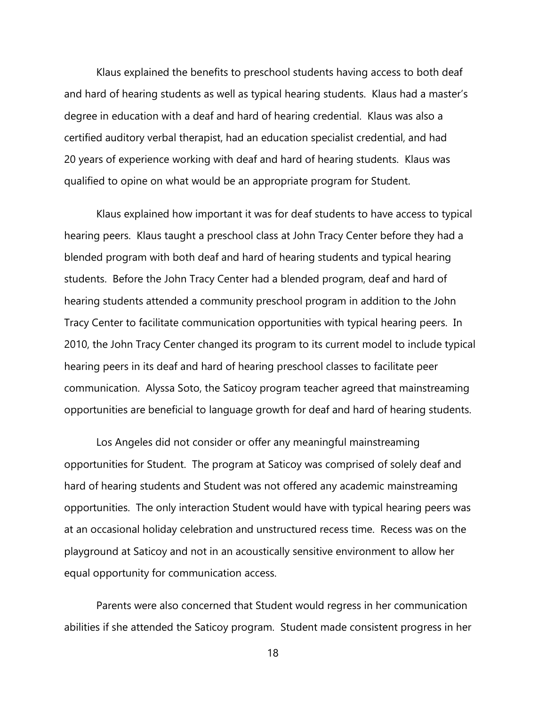Klaus explained the benefits to preschool students having access to both deaf and hard of hearing students as well as typical hearing students. Klaus had a master's degree in education with a deaf and hard of hearing credential. Klaus was also a certified auditory verbal therapist, had an education specialist credential, and had 20 years of experience working with deaf and hard of hearing students. Klaus was qualified to opine on what would be an appropriate program for Student.

Klaus explained how important it was for deaf students to have access to typical hearing peers. Klaus taught a preschool class at John Tracy Center before they had a blended program with both deaf and hard of hearing students and typical hearing students. Before the John Tracy Center had a blended program, deaf and hard of hearing students attended a community preschool program in addition to the John Tracy Center to facilitate communication opportunities with typical hearing peers. In 2010, the John Tracy Center changed its program to its current model to include typical hearing peers in its deaf and hard of hearing preschool classes to facilitate peer communication. Alyssa Soto, the Saticoy program teacher agreed that mainstreaming opportunities are beneficial to language growth for deaf and hard of hearing students.

Los Angeles did not consider or offer any meaningful mainstreaming opportunities for Student. The program at Saticoy was comprised of solely deaf and hard of hearing students and Student was not offered any academic mainstreaming opportunities. The only interaction Student would have with typical hearing peers was at an occasional holiday celebration and unstructured recess time. Recess was on the playground at Saticoy and not in an acoustically sensitive environment to allow her equal opportunity for communication access.

Parents were also concerned that Student would regress in her communication abilities if she attended the Saticoy program. Student made consistent progress in her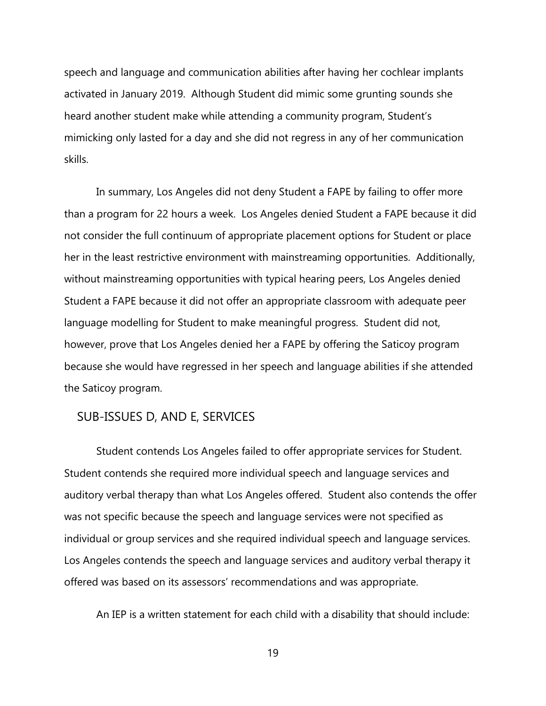speech and language and communication abilities after having her cochlear implants activated in January 2019. Although Student did mimic some grunting sounds she heard another student make while attending a community program, Student's mimicking only lasted for a day and she did not regress in any of her communication skills.

In summary, Los Angeles did not deny Student a FAPE by failing to offer more than a program for 22 hours a week. Los Angeles denied Student a FAPE because it did not consider the full continuum of appropriate placement options for Student or place her in the least restrictive environment with mainstreaming opportunities. Additionally, without mainstreaming opportunities with typical hearing peers, Los Angeles denied Student a FAPE because it did not offer an appropriate classroom with adequate peer language modelling for Student to make meaningful progress. Student did not, however, prove that Los Angeles denied her a FAPE by offering the Saticoy program because she would have regressed in her speech and language abilities if she attended the Saticoy program.

### SUB-ISSUES D, AND E, SERVICES

Student contends Los Angeles failed to offer appropriate services for Student. Student contends she required more individual speech and language services and auditory verbal therapy than what Los Angeles offered. Student also contends the offer was not specific because the speech and language services were not specified as individual or group services and she required individual speech and language services. Los Angeles contends the speech and language services and auditory verbal therapy it offered was based on its assessors' recommendations and was appropriate.

An IEP is a written statement for each child with a disability that should include: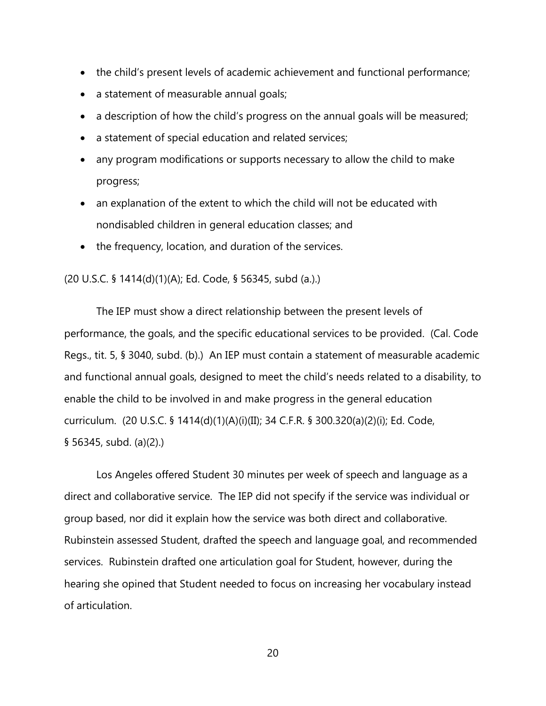- the child's present levels of academic achievement and functional performance;
- a statement of measurable annual goals;
- a description of how the child's progress on the annual goals will be measured;
- a statement of special education and related services;
- any program modifications or supports necessary to allow the child to make progress;
- an explanation of the extent to which the child will not be educated with nondisabled children in general education classes; and
- the frequency, location, and duration of the services.

### (20 U.S.C. § 1414(d)(1)(A); Ed. Code, § 56345, subd (a.).)

The IEP must show a direct relationship between the present levels of performance, the goals, and the specific educational services to be provided. (Cal. Code Regs., tit. 5, § 3040, subd. (b).) An IEP must contain a statement of measurable academic and functional annual goals, designed to meet the child's needs related to a disability, to enable the child to be involved in and make progress in the general education curriculum. (20 U.S.C. § 1414(d)(1)(A)(i)(II); 34 C.F.R. § 300.320(a)(2)(i); Ed. Code, § 56345, subd. (a)(2).)

Los Angeles offered Student 30 minutes per week of speech and language as a direct and collaborative service. The IEP did not specify if the service was individual or group based, nor did it explain how the service was both direct and collaborative. Rubinstein assessed Student, drafted the speech and language goal, and recommended services. Rubinstein drafted one articulation goal for Student, however, during the hearing she opined that Student needed to focus on increasing her vocabulary instead of articulation.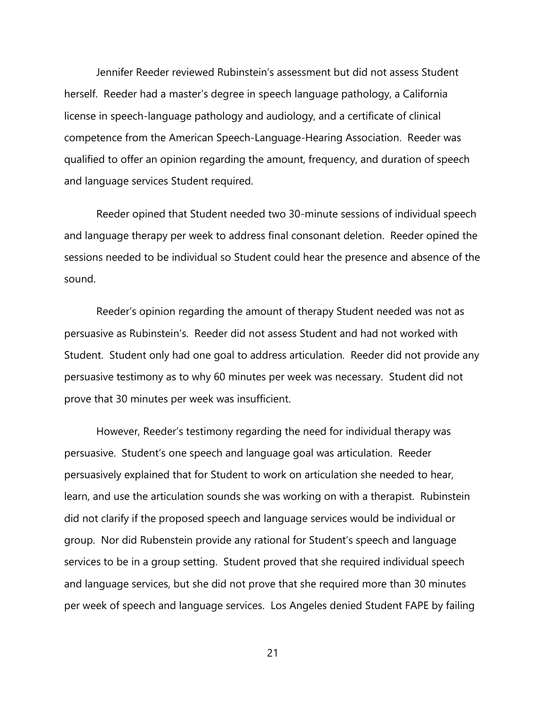Jennifer Reeder reviewed Rubinstein's assessment but did not assess Student herself. Reeder had a master's degree in speech language pathology, a California license in speech-language pathology and audiology, and a certificate of clinical competence from the American Speech-Language-Hearing Association. Reeder was qualified to offer an opinion regarding the amount, frequency, and duration of speech and language services Student required.

Reeder opined that Student needed two 30-minute sessions of individual speech and language therapy per week to address final consonant deletion. Reeder opined the sessions needed to be individual so Student could hear the presence and absence of the sound.

Reeder's opinion regarding the amount of therapy Student needed was not as persuasive as Rubinstein's. Reeder did not assess Student and had not worked with Student. Student only had one goal to address articulation. Reeder did not provide any persuasive testimony as to why 60 minutes per week was necessary. Student did not prove that 30 minutes per week was insufficient.

However, Reeder's testimony regarding the need for individual therapy was persuasive. Student's one speech and language goal was articulation. Reeder persuasively explained that for Student to work on articulation she needed to hear, learn, and use the articulation sounds she was working on with a therapist. Rubinstein did not clarify if the proposed speech and language services would be individual or group. Nor did Rubenstein provide any rational for Student's speech and language services to be in a group setting. Student proved that she required individual speech and language services, but she did not prove that she required more than 30 minutes per week of speech and language services. Los Angeles denied Student FAPE by failing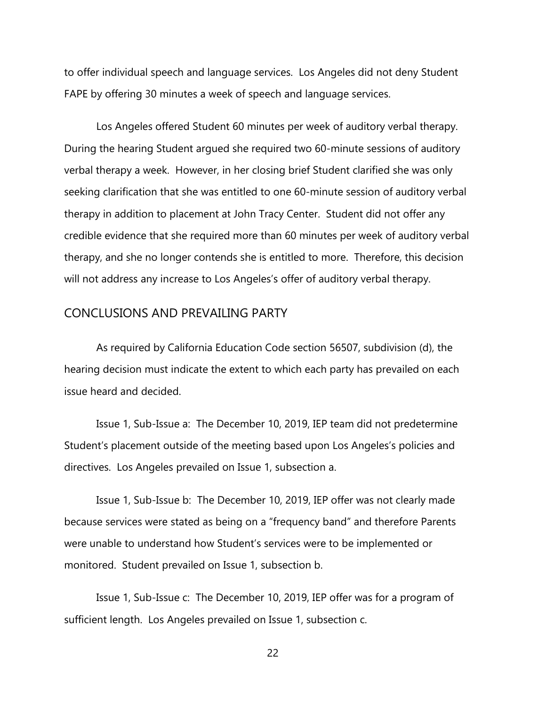to offer individual speech and language services. Los Angeles did not deny Student FAPE by offering 30 minutes a week of speech and language services.

Los Angeles offered Student 60 minutes per week of auditory verbal therapy. During the hearing Student argued she required two 60-minute sessions of auditory verbal therapy a week. However, in her closing brief Student clarified she was only seeking clarification that she was entitled to one 60-minute session of auditory verbal therapy in addition to placement at John Tracy Center. Student did not offer any credible evidence that she required more than 60 minutes per week of auditory verbal therapy, and she no longer contends she is entitled to more. Therefore, this decision will not address any increase to Los Angeles's offer of auditory verbal therapy.

### CONCLUSIONS AND PREVAILING PARTY

As required by California Education Code section 56507, subdivision (d), the hearing decision must indicate the extent to which each party has prevailed on each issue heard and decided.

Issue 1, Sub-Issue a: The December 10, 2019, IEP team did not predetermine Student's placement outside of the meeting based upon Los Angeles's policies and directives. Los Angeles prevailed on Issue 1, subsection a.

Issue 1, Sub-Issue b: The December 10, 2019, IEP offer was not clearly made because services were stated as being on a "frequency band" and therefore Parents were unable to understand how Student's services were to be implemented or monitored. Student prevailed on Issue 1, subsection b.

Issue 1, Sub-Issue c: The December 10, 2019, IEP offer was for a program of sufficient length. Los Angeles prevailed on Issue 1, subsection c.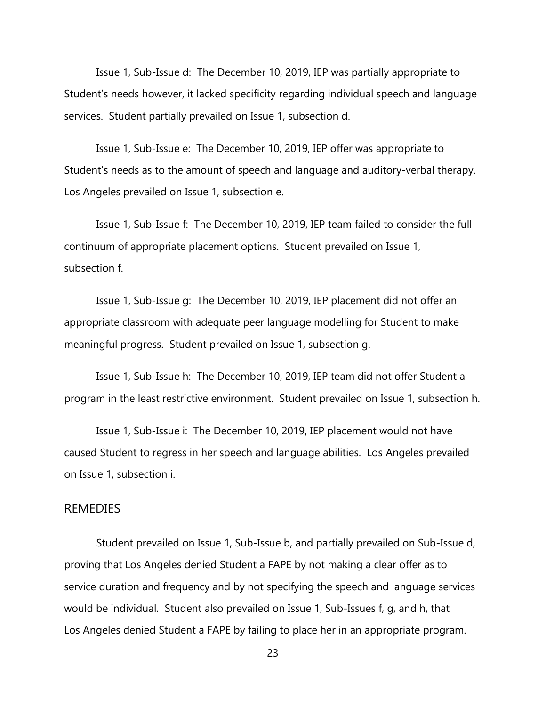Issue 1, Sub-Issue d: The December 10, 2019, IEP was partially appropriate to Student's needs however, it lacked specificity regarding individual speech and language services. Student partially prevailed on Issue 1, subsection d.

Issue 1, Sub-Issue e: The December 10, 2019, IEP offer was appropriate to Student's needs as to the amount of speech and language and auditory-verbal therapy. Los Angeles prevailed on Issue 1, subsection e.

Issue 1, Sub-Issue f: The December 10, 2019, IEP team failed to consider the full continuum of appropriate placement options. Student prevailed on Issue 1, subsection f.

Issue 1, Sub-Issue g: The December 10, 2019, IEP placement did not offer an appropriate classroom with adequate peer language modelling for Student to make meaningful progress. Student prevailed on Issue 1, subsection g.

Issue 1, Sub-Issue h: The December 10, 2019, IEP team did not offer Student a program in the least restrictive environment. Student prevailed on Issue 1, subsection h.

Issue 1, Sub-Issue i: The December 10, 2019, IEP placement would not have caused Student to regress in her speech and language abilities. Los Angeles prevailed on Issue 1, subsection i.

#### REMEDIES

Student prevailed on Issue 1, Sub-Issue b, and partially prevailed on Sub-Issue d, proving that Los Angeles denied Student a FAPE by not making a clear offer as to service duration and frequency and by not specifying the speech and language services would be individual. Student also prevailed on Issue 1, Sub-Issues f, g, and h, that Los Angeles denied Student a FAPE by failing to place her in an appropriate program.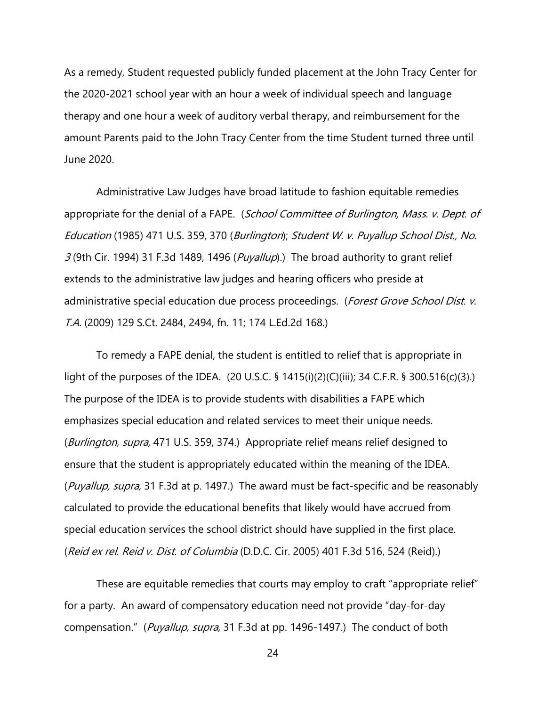As a remedy, Student requested publicly funded placement at the John Tracy Center for the 2020-2021 school year with an hour a week of individual speech and language therapy and one hour a week of auditory verbal therapy, and reimbursement for the amount Parents paid to the John Tracy Center from the time Student turned three until June 2020.

Administrative Law Judges have broad latitude to fashion equitable remedies appropriate for the denial of a FAPE. (School Committee of Burlington, Mass. v. Dept. of Education (1985) 471 U.S. 359, 370 (Burlington); Student W. v. Puyallup School Dist., No.  $3$  (9th Cir. 1994) 31 F.3d 1489, 1496 (*Puyallup*).) The broad authority to grant relief extends to the administrative law judges and hearing officers who preside at administrative special education due process proceedings. (Forest Grove School Dist. v. T.A. (2009) 129 S.Ct. 2484, 2494, fn. 11; 174 L.Ed.2d 168.)

To remedy a FAPE denial, the student is entitled to relief that is appropriate in light of the purposes of the IDEA. (20 U.S.C. § 1415(i)(2)(C)(iii); 34 C.F.R. § 300.516(c)(3).) The purpose of the IDEA is to provide students with disabilities a FAPE which emphasizes special education and related services to meet their unique needs. (*Burlington, supra,* 471 U.S. 359, 374.) Appropriate relief means relief designed to ensure that the student is appropriately educated within the meaning of the IDEA. (Puyallup, supra, 31 F.3d at p. 1497.) The award must be fact-specific and be reasonably calculated to provide the educational benefits that likely would have accrued from special education services the school district should have supplied in the first place. (Reid ex rel. Reid v. Dist. of Columbia (D.D.C. Cir. 2005) 401 F.3d 516, 524 (Reid).)

These are equitable remedies that courts may employ to craft "appropriate relief" for a party. An award of compensatory education need not provide "day-for-day compensation." (Puyallup, supra, 31 F.3d at pp. 1496-1497.) The conduct of both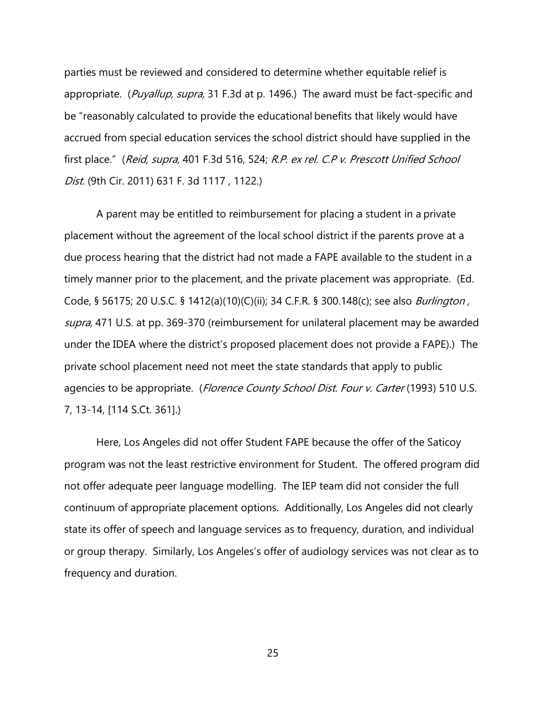parties must be reviewed and considered to determine whether equitable relief is appropriate. (Puyallup, supra, 31 F.3d at p. 1496.) The award must be fact-specific and be "reasonably calculated to provide the educational benefits that likely would have accrued from special education services the school district should have supplied in the first place." (Reid, supra, 401 F.3d 516, 524; R.P. ex rel. C.P v. Prescott Unified School Dist. (9th Cir. 2011) 631 F. 3d 1117 , 1122.)

A parent may be entitled to reimbursement for placing a student in a private placement without the agreement of the local school district if the parents prove at a due process hearing that the district had not made a FAPE available to the student in a timely manner prior to the placement, and the private placement was appropriate. (Ed. Code, § 56175; 20 U.S.C. § 1412(a)(10)(C)(ii); 34 C.F.R. § 300.148(c); see also *Burlington*, supra, 471 U.S. at pp. 369-370 (reimbursement for unilateral placement may be awarded under the IDEA where the district's proposed placement does not provide a FAPE).) The private school placement need not meet the state standards that apply to public agencies to be appropriate. (Florence County School Dist. Four v. Carter (1993) 510 U.S. 7, 13-14, [114 S.Ct. 361].)

Here, Los Angeles did not offer Student FAPE because the offer of the Saticoy program was not the least restrictive environment for Student. The offered program did not offer adequate peer language modelling. The IEP team did not consider the full continuum of appropriate placement options. Additionally, Los Angeles did not clearly state its offer of speech and language services as to frequency, duration, and individual or group therapy. Similarly, Los Angeles's offer of audiology services was not clear as to frequency and duration.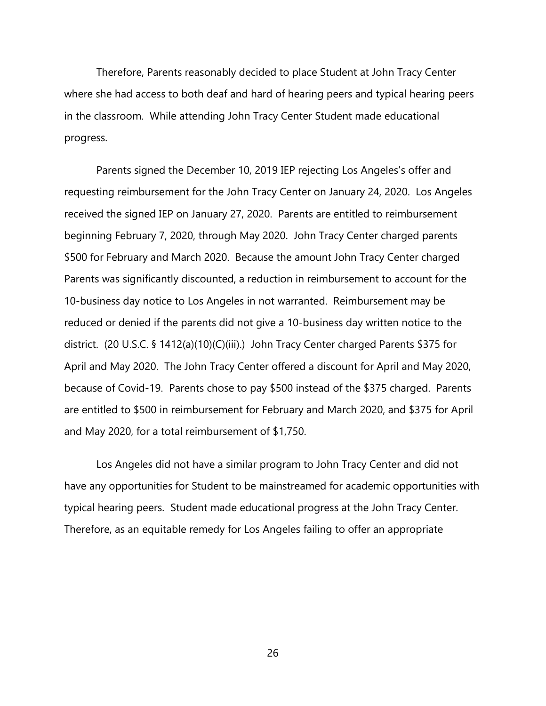Therefore, Parents reasonably decided to place Student at John Tracy Center where she had access to both deaf and hard of hearing peers and typical hearing peers in the classroom. While attending John Tracy Center Student made educational progress.

Parents signed the December 10, 2019 IEP rejecting Los Angeles's offer and requesting reimbursement for the John Tracy Center on January 24, 2020. Los Angeles received the signed IEP on January 27, 2020. Parents are entitled to reimbursement beginning February 7, 2020, through May 2020. John Tracy Center charged parents \$500 for February and March 2020. Because the amount John Tracy Center charged Parents was significantly discounted, a reduction in reimbursement to account for the 10-business day notice to Los Angeles in not warranted. Reimbursement may be reduced or denied if the parents did not give a 10-business day written notice to the district. (20 U.S.C. § 1412(a)(10)(C)(iii).) John Tracy Center charged Parents \$375 for April and May 2020. The John Tracy Center offered a discount for April and May 2020, because of Covid-19. Parents chose to pay \$500 instead of the \$375 charged. Parents are entitled to \$500 in reimbursement for February and March 2020, and \$375 for April and May 2020, for a total reimbursement of \$1,750.

Los Angeles did not have a similar program to John Tracy Center and did not have any opportunities for Student to be mainstreamed for academic opportunities with typical hearing peers. Student made educational progress at the John Tracy Center. Therefore, as an equitable remedy for Los Angeles failing to offer an appropriate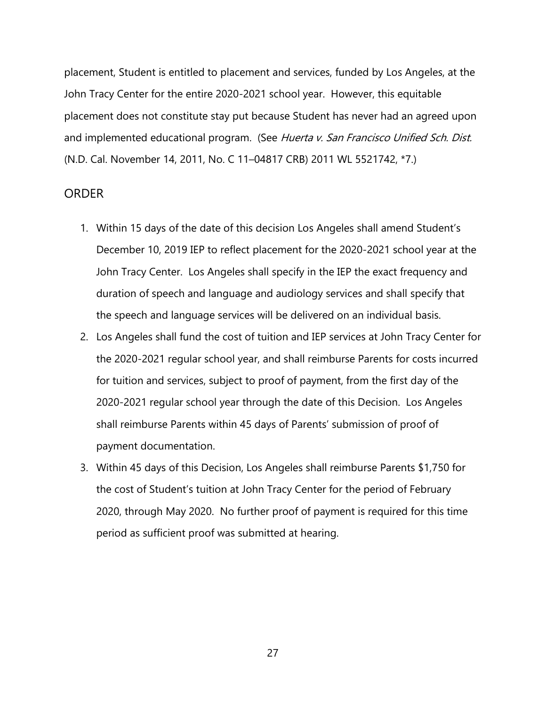placement, Student is entitled to placement and services, funded by Los Angeles, at the John Tracy Center for the entire 2020-2021 school year. However, this equitable placement does not constitute stay put because Student has never had an agreed upon and implemented educational program. (See Huerta v. San Francisco Unified Sch. Dist. (N.D. Cal. November 14, 2011, No. C 11–04817 CRB) 2011 WL 5521742, \*7.)

### ORDER

- 1. Within 15 days of the date of this decision Los Angeles shall amend Student's December 10, 2019 IEP to reflect placement for the 2020-2021 school year at the John Tracy Center. Los Angeles shall specify in the IEP the exact frequency and duration of speech and language and audiology services and shall specify that the speech and language services will be delivered on an individual basis.
- 2. Los Angeles shall fund the cost of tuition and IEP services at John Tracy Center for the 2020-2021 regular school year, and shall reimburse Parents for costs incurred for tuition and services, subject to proof of payment, from the first day of the 2020-2021 regular school year through the date of this Decision. Los Angeles shall reimburse Parents within 45 days of Parents' submission of proof of payment documentation.
- 3. Within 45 days of this Decision, Los Angeles shall reimburse Parents \$1,750 for the cost of Student's tuition at John Tracy Center for the period of February 2020, through May 2020. No further proof of payment is required for this time period as sufficient proof was submitted at hearing.